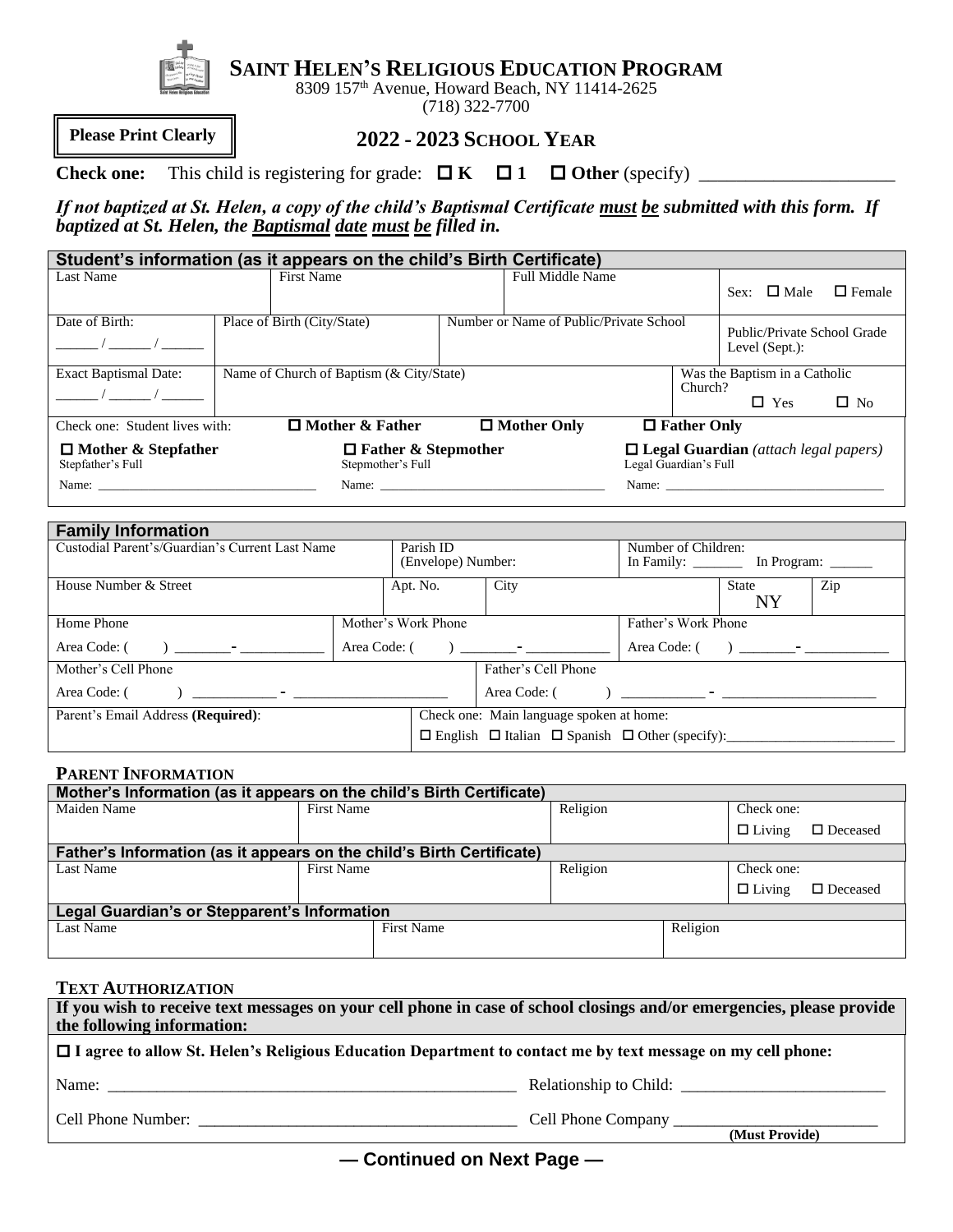

**SAINT HELEN'S RELIGIOUS EDUCATION PROGRAM**

8309 157<sup>th</sup> Avenue, Howard Beach, NY 11414-2625 (718) 322-7700

**Please Print Clearly**

## **2022 - 2023 SCHOOL YEAR**

**Check one:** This child is registering for grade: **K 1 Other** (specify) \_\_\_\_\_\_\_\_\_\_\_\_\_\_\_\_\_\_\_\_\_

*If not baptized at St. Helen, a copy of the child's Baptismal Certificate must be submitted with this form. If baptized at St. Helen, the Baptismal date must be filled in.*

|                                                 | Student's information (as it appears on the child's Birth Certificate) |                                         |                                                          |                    |                                               |               |
|-------------------------------------------------|------------------------------------------------------------------------|-----------------------------------------|----------------------------------------------------------|--------------------|-----------------------------------------------|---------------|
| Last Name                                       | <b>First Name</b>                                                      | <b>Full Middle Name</b>                 |                                                          |                    | $\Box$ Male<br>Sex:                           | $\Box$ Female |
| Date of Birth:                                  | Place of Birth (City/State)                                            | Number or Name of Public/Private School |                                                          |                    | Public/Private School Grade<br>Level (Sept.): |               |
| <b>Exact Baptismal Date:</b>                    | Name of Church of Baptism (& City/State)                               |                                         |                                                          | Church?            | Was the Baptism in a Catholic<br>$\Box$ Yes   | $\Box$ No     |
| Check one: Student lives with:                  | $\Box$ Mother & Father                                                 | $\Box$ Mother Only                      |                                                          | $\Box$ Father Only |                                               |               |
| $\Box$ Mother & Stepfather<br>Stepfather's Full | $\Box$ Father & Stepmother<br>Stepmother's Full                        |                                         | Legal Guardian's Full                                    |                    | $\Box$ Legal Guardian (attach legal papers)   |               |
|                                                 |                                                                        |                                         | Name: $\frac{1}{\sqrt{1-\frac{1}{2}} \cdot \frac{1}{2}}$ |                    |                                               |               |

| <b>Family Information</b>                                                                                                                                                                                                                                                                                                                                                                                                           |                     |                                          |                                                                                                                                                                                                                                                                                                                                     |                                  |     |  |  |
|-------------------------------------------------------------------------------------------------------------------------------------------------------------------------------------------------------------------------------------------------------------------------------------------------------------------------------------------------------------------------------------------------------------------------------------|---------------------|------------------------------------------|-------------------------------------------------------------------------------------------------------------------------------------------------------------------------------------------------------------------------------------------------------------------------------------------------------------------------------------|----------------------------------|-----|--|--|
| Custodial Parent's/Guardian's Current Last Name                                                                                                                                                                                                                                                                                                                                                                                     | Parish ID           |                                          |                                                                                                                                                                                                                                                                                                                                     | Number of Children:              |     |  |  |
|                                                                                                                                                                                                                                                                                                                                                                                                                                     |                     | (Envelope) Number:                       |                                                                                                                                                                                                                                                                                                                                     | In Family: In Program:           |     |  |  |
| House Number & Street                                                                                                                                                                                                                                                                                                                                                                                                               | Apt. No.            | City                                     |                                                                                                                                                                                                                                                                                                                                     | State                            | Zip |  |  |
|                                                                                                                                                                                                                                                                                                                                                                                                                                     |                     |                                          |                                                                                                                                                                                                                                                                                                                                     | NY                               |     |  |  |
| Home Phone                                                                                                                                                                                                                                                                                                                                                                                                                          | Mother's Work Phone |                                          | Father's Work Phone                                                                                                                                                                                                                                                                                                                 |                                  |     |  |  |
| $\overline{\phantom{a}}$ ) $\overline{\phantom{a}}$<br>Area Code: (                                                                                                                                                                                                                                                                                                                                                                 | Area Code: (        | $\overline{\phantom{a}}$                 |                                                                                                                                                                                                                                                                                                                                     | Area Code: () and $\blacksquare$ |     |  |  |
| Mother's Cell Phone                                                                                                                                                                                                                                                                                                                                                                                                                 |                     | Father's Cell Phone                      |                                                                                                                                                                                                                                                                                                                                     |                                  |     |  |  |
| Area Code: (<br>$\overline{\phantom{a}}$ ) and $\overline{\phantom{a}}$ and $\overline{\phantom{a}}$ and $\overline{\phantom{a}}$ and $\overline{\phantom{a}}$ and $\overline{\phantom{a}}$ and $\overline{\phantom{a}}$ and $\overline{\phantom{a}}$ and $\overline{\phantom{a}}$ and $\overline{\phantom{a}}$ and $\overline{\phantom{a}}$ and $\overline{\phantom{a}}$ and $\overline{\phantom{a}}$ and $\overline{\phantom{a}}$ |                     | Area Code: (                             | $\overline{a}$ ) and $\overline{a}$ and $\overline{a}$ and $\overline{a}$ and $\overline{a}$ and $\overline{a}$ and $\overline{a}$ and $\overline{a}$ and $\overline{a}$ and $\overline{a}$ and $\overline{a}$ and $\overline{a}$ and $\overline{a}$ and $\overline{a}$ and $\overline{a}$ and $\overline{a}$ and $\overline{a}$ an |                                  |     |  |  |
| Parent's Email Address (Required):                                                                                                                                                                                                                                                                                                                                                                                                  |                     | Check one: Main language spoken at home: |                                                                                                                                                                                                                                                                                                                                     |                                  |     |  |  |
|                                                                                                                                                                                                                                                                                                                                                                                                                                     |                     |                                          |                                                                                                                                                                                                                                                                                                                                     |                                  |     |  |  |

## **PARENT INFORMATION**

| Mother's Information (as it appears on the child's Birth Certificate) |                   |          |          |               |                    |  |
|-----------------------------------------------------------------------|-------------------|----------|----------|---------------|--------------------|--|
| Maiden Name                                                           | First Name        | Religion |          | Check one:    |                    |  |
|                                                                       |                   |          |          | $\Box$ Living | $\square$ Deceased |  |
| Father's Information (as it appears on the child's Birth Certificate) |                   |          |          |               |                    |  |
| Last Name                                                             | <b>First Name</b> | Religion |          | Check one:    |                    |  |
|                                                                       |                   |          |          | $\Box$ Living | $\square$ Deceased |  |
| <b>Legal Guardian's or Stepparent's Information</b>                   |                   |          |          |               |                    |  |
| Last Name                                                             | First Name        |          | Religion |               |                    |  |
|                                                                       |                   |          |          |               |                    |  |

### **TEXT AUTHORIZATION**

| If you wish to receive text messages on your cell phone in case of school closings and/or emergencies, please provide<br>the following information: |                           |  |
|-----------------------------------------------------------------------------------------------------------------------------------------------------|---------------------------|--|
| $\Box$ I agree to allow St. Helen's Religious Education Department to contact me by text message on my cell phone:                                  |                           |  |
| Name:                                                                                                                                               | Relationship to Child:    |  |
| Cell Phone Number:                                                                                                                                  | <b>Cell Phone Company</b> |  |

**(Must Provide)**

**— Continued on Next Page —**